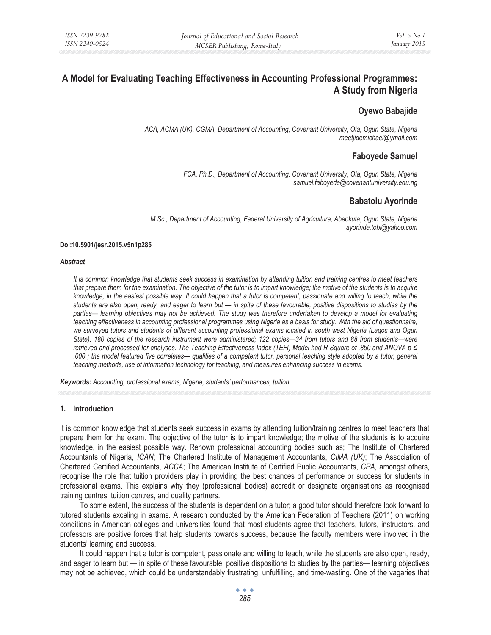# **A Model for Evaluating Teaching Effectiveness in Accounting Professional Programmes: A Study from Nigeria**

# **Oyewo Babajide**

*ACA, ACMA (UK), CGMA, Department of Accounting, Covenant University, Ota, Ogun State, Nigeria meetjidemichael@ymail.com* 

# **Faboyede Samuel**

 *FCA, Ph.D., Department of Accounting, Covenant University, Ota, Ogun State, Nigeria samuel.faboyede@covenantuniversity.edu.ng* 

# **Babatolu Ayorinde**

*M.Sc., Department of Accounting, Federal University of Agriculture, Abeokuta, Ogun State, Nigeria ayorinde.tobi@yahoo.com* 

#### **Doi:10.5901/jesr.2015.v5n1p285**

#### *Abstract*

*It is common knowledge that students seek success in examination by attending tuition and training centres to meet teachers that prepare them for the examination. The objective of the tutor is to impart knowledge; the motive of the students is to acquire knowledge, in the easiest possible way. It could happen that a tutor is competent, passionate and willing to teach, while the students are also open, ready, and eager to learn but — in spite of these favourable, positive dispositions to studies by the parties— learning objectives may not be achieved. The study was therefore undertaken to develop a model for evaluating teaching effectiveness in accounting professional programmes using Nigeria as a basis for study. With the aid of questionnaire, we surveyed tutors and students of different accounting professional exams located in south west Nigeria (Lagos and Ogun State). 180 copies of the research instrument were administered; 122 copies—34 from tutors and 88 from students—were retrieved and processed for analyses. The Teaching Effectiveness Index (TEFI) Model had R Square of .850 and ANOVA p ≤ .000 ; the model featured five correlates— qualities of a competent tutor, personal teaching style adopted by a tutor, general teaching methods, use of information technology for teaching, and measures enhancing success in exams.* 

*Keywords: Accounting, professional exams, Nigeria, students' performances, tuition*

#### **1. Introduction**

It is common knowledge that students seek success in exams by attending tuition/training centres to meet teachers that prepare them for the exam. The objective of the tutor is to impart knowledge; the motive of the students is to acquire knowledge, in the easiest possible way. Renown professional accounting bodies such as; The Institute of Chartered Accountants of Nigeria, *ICAN*; The Chartered Institute of Management Accountants, *CIMA (UK)*; The Association of Chartered Certified Accountants, *ACCA*; The American Institute of Certified Public Accountants, *CPA,* amongst others, recognise the role that tuition providers play in providing the best chances of performance or success for students in professional exams. This explains why they (professional bodies) accredit or designate organisations as recognised training centres, tuition centres, and quality partners.

To some extent, the success of the students is dependent on a tutor; a good tutor should therefore look forward to tutored students exceling in exams. A research conducted by the American Federation of Teachers (2011) on working conditions in American colleges and universities found that most students agree that teachers, tutors, instructors, and professors are positive forces that help students towards success, because the faculty members were involved in the students' learning and success.

It could happen that a tutor is competent, passionate and willing to teach, while the students are also open, ready, and eager to learn but — in spite of these favourable, positive dispositions to studies by the parties— learning objectives may not be achieved, which could be understandably frustrating, unfulfilling, and time-wasting. One of the vagaries that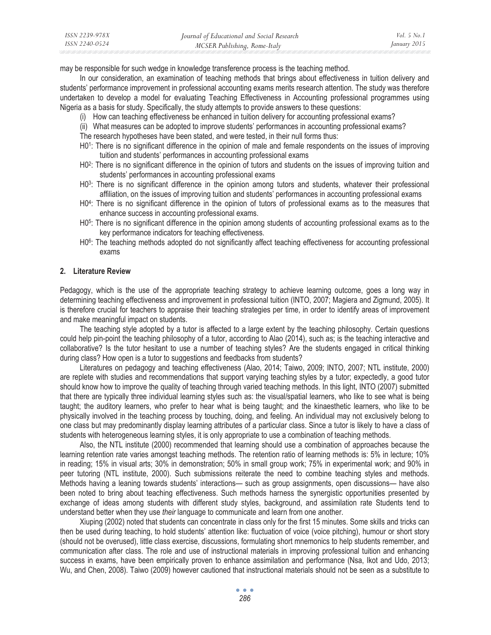| ISSN 2239-978X | Journal of Educational and Social Research | <i>Vol.</i> 5 $No.1$ |
|----------------|--------------------------------------------|----------------------|
| ISSN 2240-0524 | MCSER Publishing, Rome-Italy               | January 2015         |

may be responsible for such wedge in knowledge transference process is the teaching method.

In our consideration, an examination of teaching methods that brings about effectiveness in tuition delivery and students' performance improvement in professional accounting exams merits research attention. The study was therefore undertaken to develop a model for evaluating Teaching Effectiveness in Accounting professional programmes using Nigeria as a basis for study. Specifically, the study attempts to provide answers to these questions:

- (i) How can teaching effectiveness be enhanced in tuition delivery for accounting professional exams?
- (ii) What measures can be adopted to improve students' performances in accounting professional exams?

The research hypotheses have been stated, and were tested, in their null forms thus:

- H01: There is no significant difference in the opinion of male and female respondents on the issues of improving tuition and students' performances in accounting professional exams
- H0<sup>2</sup>: There is no significant difference in the opinion of tutors and students on the issues of improving tuition and students' performances in accounting professional exams
- H0<sup>3</sup>: There is no significant difference in the opinion among tutors and students, whatever their professional affiliation, on the issues of improving tuition and students' performances in accounting professional exams
- H04: There is no significant difference in the opinion of tutors of professional exams as to the measures that enhance success in accounting professional exams.
- H0<sup>5</sup>: There is no significant difference in the opinion among students of accounting professional exams as to the key performance indicators for teaching effectiveness.
- H0<sup>6</sup>: The teaching methods adopted do not significantly affect teaching effectiveness for accounting professional exams

### **2. Literature Review**

Pedagogy, which is the use of the appropriate teaching strategy to achieve learning outcome, goes a long way in determining teaching effectiveness and improvement in professional tuition (INTO, 2007; Magiera and Zigmund, 2005). It is therefore crucial for teachers to appraise their teaching strategies per time, in order to identify areas of improvement and make meaningful impact on students.

The teaching style adopted by a tutor is affected to a large extent by the teaching philosophy. Certain questions could help pin-point the teaching philosophy of a tutor, according to Alao (2014), such as; is the teaching interactive and collaborative? Is the tutor hesitant to use a number of teaching styles? Are the students engaged in critical thinking during class? How open is a tutor to suggestions and feedbacks from students?

Literatures on pedagogy and teaching effectiveness (Alao, 2014; Taiwo, 2009; INTO, 2007; NTL institute, 2000) are replete with studies and recommendations that support varying teaching styles by a tutor; expectedly, a good tutor should know how to improve the quality of teaching through varied teaching methods. In this light, INTO (2007) submitted that there are typically three individual learning styles such as: the visual/spatial learners, who like to see what is being taught; the auditory learners, who prefer to hear what is being taught; and the kinaesthetic learners, who like to be physically involved in the teaching process by touching, doing, and feeling. An individual may not exclusively belong to one class but may predominantly display learning attributes of a particular class. Since a tutor is likely to have a class of students with heterogeneous learning styles, it is only appropriate to use a combination of teaching methods.

Also, the NTL institute (2000) recommended that learning should use a combination of approaches because the learning retention rate varies amongst teaching methods. The retention ratio of learning methods is: 5% in lecture; 10% in reading; 15% in visual arts; 30% in demonstration; 50% in small group work; 75% in experimental work; and 90% in peer tutoring (NTL institute, 2000). Such submissions reiterate the need to combine teaching styles and methods. Methods having a leaning towards students' interactions— such as group assignments, open discussions— have also been noted to bring about teaching effectiveness. Such methods harness the synergistic opportunities presented by exchange of ideas among students with different study styles, background, and assimilation rate Students tend to understand better when they use *their* language to communicate and learn from one another.

Xiuping (2002) noted that students can concentrate in class only for the first 15 minutes. Some skills and tricks can then be used during teaching, to hold students' attention like: fluctuation of voice (voice pitching), humour or short story (should not be overused), little class exercise, discussions, formulating short mnemonics to help students remember, and communication after class. The role and use of instructional materials in improving professional tuition and enhancing success in exams, have been empirically proven to enhance assimilation and performance (Nsa, Ikot and Udo, 2013; Wu, and Chen, 2008). Taiwo (2009) however cautioned that instructional materials should not be seen as a substitute to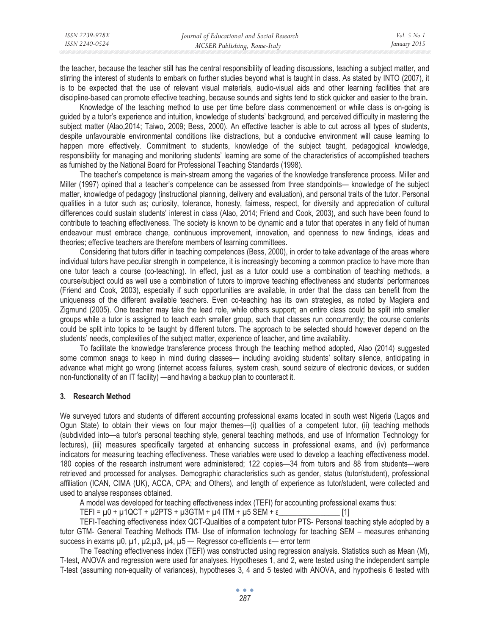the teacher, because the teacher still has the central responsibility of leading discussions, teaching a subject matter, and stirring the interest of students to embark on further studies beyond what is taught in class. As stated by INTO (2007), it is to be expected that the use of relevant visual materials, audio-visual aids and other learning facilities that are discipline-based can promote effective teaching, because sounds and sights tend to stick quicker and easier to the brain**.**

Knowledge of the teaching method to use per time before class commencement or while class is on-going is guided by a tutor's experience and intuition, knowledge of students' background, and perceived difficulty in mastering the subject matter (Alao,2014; Taiwo, 2009; Bess, 2000). An effective teacher is able to cut across all types of students, despite unfavourable environmental conditions like distractions, but a conducive environment will cause learning to happen more effectively. Commitment to students, knowledge of the subject taught, pedagogical knowledge, responsibility for managing and monitoring students' learning are some of the characteristics of accomplished teachers as furnished by the National Board for Professional Teaching Standards (1998).

The teacher's competence is main-stream among the vagaries of the knowledge transference process. Miller and Miller (1997) opined that a teacher's competence can be assessed from three standpoints— knowledge of the subject matter, knowledge of pedagogy (instructional planning, delivery and evaluation), and personal traits of the tutor. Personal qualities in a tutor such as; curiosity, tolerance, honesty, fairness, respect, for diversity and appreciation of cultural differences could sustain students' interest in class (Alao, 2014; Friend and Cook, 2003), and such have been found to contribute to teaching effectiveness. The society is known to be dynamic and a tutor that operates in any field of human endeavour must embrace change, continuous improvement, innovation, and openness to new findings, ideas and theories; effective teachers are therefore members of learning committees.

Considering that tutors differ in teaching competences (Bess, 2000), in order to take advantage of the areas where individual tutors have peculiar strength in competence, it is increasingly becoming a common practice to have more than one tutor teach a course (co-teaching). In effect, just as a tutor could use a combination of teaching methods, a course/subject could as well use a combination of tutors to improve teaching effectiveness and students' performances (Friend and Cook, 2003), especially if such opportunities are available, in order that the class can benefit from the uniqueness of the different available teachers. Even co-teaching has its own strategies, as noted by Magiera and Zigmund (2005). One teacher may take the lead role, while others support; an entire class could be split into smaller groups while a tutor is assigned to teach each smaller group, such that classes run concurrently; the course contents could be split into topics to be taught by different tutors. The approach to be selected should however depend on the students' needs, complexities of the subject matter, experience of teacher, and time availability.

To facilitate the knowledge transference process through the teaching method adopted, Alao (2014) suggested some common snags to keep in mind during classes— including avoiding students' solitary silence, anticipating in advance what might go wrong (internet access failures, system crash, sound seizure of electronic devices, or sudden non-functionality of an IT facility) —and having a backup plan to counteract it.

# **3. Research Method**

We surveyed tutors and students of different accounting professional exams located in south west Nigeria (Lagos and Ogun State) to obtain their views on four major themes—(i) qualities of a competent tutor, (ii) teaching methods (subdivided into—a tutor's personal teaching style, general teaching methods, and use of Information Technology for lectures), (iii) measures specifically targeted at enhancing success in professional exams, and (iv) performance indicators for measuring teaching effectiveness. These variables were used to develop a teaching effectiveness model. 180 copies of the research instrument were administered; 122 copies—34 from tutors and 88 from students—were retrieved and processed for analyses. Demographic characteristics such as gender, status (tutor/student), professional affiliation (ICAN, CIMA (UK), ACCA, CPA; and Others), and length of experience as tutor/student, were collected and used to analyse responses obtained.

A model was developed for teaching effectiveness index (TEFI) for accounting professional exams thus:

TEFI = μ0 + μ1QCT + μ2PTS + μ3GTM + μ4 ITM + μ5 SEM + İ\_\_\_\_\_\_\_\_\_\_\_\_\_\_\_\_ [1]

TEFI-Teaching effectiveness index QCT-Qualities of a competent tutor PTS- Personal teaching style adopted by a tutor GTM- General Teaching Methods ITM- Use of information technology for teaching SEM – measures enhancing success in exams  $\mu$ 0,  $\mu$ 1,  $\mu$ 2, $\mu$ 3,  $\mu$ 4,  $\mu$ 5 — Regressor co-efficients  $\varepsilon$ — error term

The Teaching effectiveness index (TEFI) was constructed using regression analysis. Statistics such as Mean (M), T-test, ANOVA and regression were used for analyses. Hypotheses 1, and 2, were tested using the independent sample T-test (assuming non-equality of variances), hypotheses 3, 4 and 5 tested with ANOVA, and hypothesis 6 tested with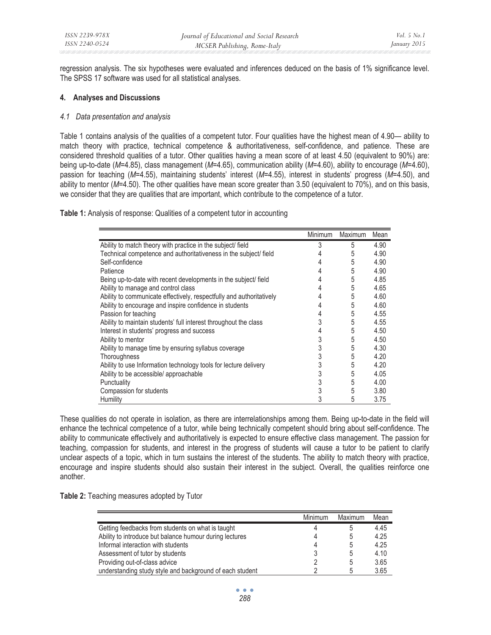regression analysis. The six hypotheses were evaluated and inferences deduced on the basis of 1% significance level. The SPSS 17 software was used for all statistical analyses.

### **4. Analyses and Discussions**

### *4.1 Data presentation and analysis*

Table 1 contains analysis of the qualities of a competent tutor. Four qualities have the highest mean of 4.90— ability to match theory with practice, technical competence & authoritativeness, self-confidence, and patience. These are considered threshold qualities of a tutor. Other qualities having a mean score of at least 4.50 (equivalent to 90%) are: being up-to-date (*M*=4.85), class management (*M*=4.65), communication ability (*M*=4.60), ability to encourage (*M*=4.60), passion for teaching (*M*=4.55), maintaining students' interest (*M*=4.55), interest in students' progress (*M*=4.50), and ability to mentor (*M*=4.50). The other qualities have mean score greater than 3.50 (equivalent to 70%), and on this basis, we consider that they are qualities that are important, which contribute to the competence of a tutor.

**Table 1:** Analysis of response: Qualities of a competent tutor in accounting

|                                                                      | <b>Minimum</b> | Maximum | Mean |
|----------------------------------------------------------------------|----------------|---------|------|
| Ability to match theory with practice in the subject/ field          | 3              | 5       | 4.90 |
| Technical competence and authoritativeness in the subject/field      |                | 5       | 4.90 |
| Self-confidence                                                      | 4              | 5       | 4.90 |
| Patience                                                             | 4              | 5       | 4.90 |
| Being up-to-date with recent developments in the subject/ field      | 4              | 5       | 4.85 |
| Ability to manage and control class                                  | 4              | 5       | 4.65 |
| Ability to communicate effectively, respectfully and authoritatively | 4              | 5       | 4.60 |
| Ability to encourage and inspire confidence in students              | 4              | 5       | 4.60 |
| Passion for teaching                                                 | 4              | 5       | 4.55 |
| Ability to maintain students' full interest throughout the class     | 3              | 5       | 4.55 |
| Interest in students' progress and success                           | 4              | 5       | 4.50 |
| Ability to mentor                                                    | 3              | 5       | 4.50 |
| Ability to manage time by ensuring syllabus coverage                 | 3              | 5       | 4.30 |
| Thoroughness                                                         | 3              | 5       | 4.20 |
| Ability to use Information technology tools for lecture delivery     | 3              | 5       | 4.20 |
| Ability to be accessible/ approachable                               | 3              | 5       | 4.05 |
| Punctuality                                                          | 3              | 5       | 4.00 |
| Compassion for students                                              | 3              | 5       | 3.80 |
| Humility                                                             | 3              | 5       | 3.75 |

These qualities do not operate in isolation, as there are interrelationships among them. Being up-to-date in the field will enhance the technical competence of a tutor, while being technically competent should bring about self-confidence. The ability to communicate effectively and authoritatively is expected to ensure effective class management. The passion for teaching, compassion for students, and interest in the progress of students will cause a tutor to be patient to clarify unclear aspects of a topic, which in turn sustains the interest of the students. The ability to match theory with practice, encourage and inspire students should also sustain their interest in the subject. Overall, the qualities reinforce one another.

**Table 2:** Teaching measures adopted by Tutor

|                                                          | Minimum | Maximum | Mean |
|----------------------------------------------------------|---------|---------|------|
| Getting feedbacks from students on what is taught        |         |         | 4.45 |
| Ability to introduce but balance humour during lectures  |         | b       | 4.25 |
| Informal interaction with students                       |         | 5       | 4.25 |
| Assessment of tutor by students                          |         | 5       | 4.10 |
| Providing out-of-class advice                            |         | 5       | 3.65 |
| understanding study style and background of each student |         | .5      | 3.65 |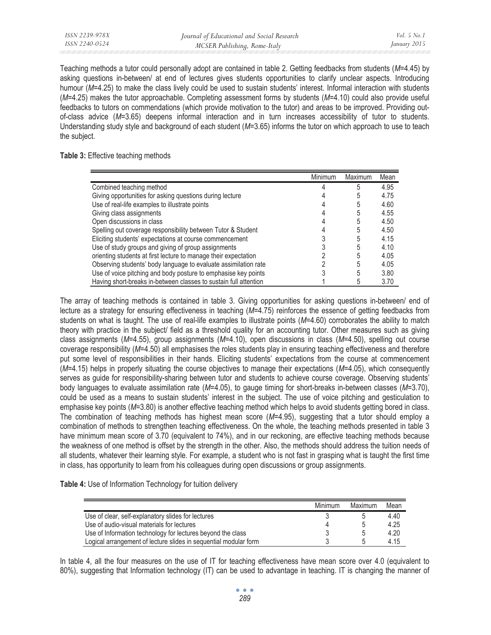Teaching methods a tutor could personally adopt are contained in table 2. Getting feedbacks from students (*M*=4.45) by asking questions in-between/ at end of lectures gives students opportunities to clarify unclear aspects. Introducing humour (M=4.25) to make the class lively could be used to sustain students' interest. Informal interaction with students (*M*=4.25) makes the tutor approachable. Completing assessment forms by students (*M*=4.10) could also provide useful feedbacks to tutors on commendations (which provide motivation to the tutor) and areas to be improved. Providing outof-class advice (*M*=3.65) deepens informal interaction and in turn increases accessibility of tutor to students. Understanding study style and background of each student (*M*=3.65) informs the tutor on which approach to use to teach the subject.

### **Table 3:** Effective teaching methods

|                                                                  | Minimum | Maximum | Mean |
|------------------------------------------------------------------|---------|---------|------|
| Combined teaching method                                         |         |         | 4.95 |
| Giving opportunities for asking questions during lecture         |         |         | 4.75 |
| Use of real-life examples to illustrate points                   |         |         | 4.60 |
| Giving class assignments                                         |         |         | 4.55 |
| Open discussions in class                                        |         |         | 4.50 |
| Spelling out coverage responsibility between Tutor & Student     |         |         | 4.50 |
| Eliciting students' expectations at course commencement          |         | 5       | 4.15 |
| Use of study groups and giving of group assignments              |         |         | 4.10 |
| orienting students at first lecture to manage their expectation  |         | 5       | 4.05 |
| Observing students' body language to evaluate assimilation rate  |         |         | 4.05 |
| Use of voice pitching and body posture to emphasise key points   |         |         | 3.80 |
| Having short-breaks in-between classes to sustain full attention |         |         | 3.70 |

The array of teaching methods is contained in table 3. Giving opportunities for asking questions in-between/ end of lecture as a strategy for ensuring effectiveness in teaching (*M*=4.75) reinforces the essence of getting feedbacks from students on what is taught. The use of real-life examples to illustrate points (*M*=4.60) corroborates the ability to match theory with practice in the subject/ field as a threshold quality for an accounting tutor. Other measures such as giving class assignments (*M*=4.55), group assignments (*M*=4.10), open discussions in class (*M*=4.50), spelling out course coverage responsibility (*M*=4.50) all emphasises the roles students play in ensuring teaching effectiveness and therefore put some level of responsibilities in their hands. Eliciting students' expectations from the course at commencement (*M*=4.15) helps in properly situating the course objectives to manage their expectations (*M*=4.05), which consequently serves as guide for responsibility-sharing between tutor and students to achieve course coverage. Observing students' body languages to evaluate assimilation rate (*M*=4.05), to gauge timing for short-breaks in-between classes (*M*=3.70), could be used as a means to sustain students' interest in the subject. The use of voice pitching and gesticulation to emphasise key points (*M*=3.80) is another effective teaching method which helps to avoid students getting bored in class. The combination of teaching methods has highest mean score (*M*=4.95), suggesting that a tutor should employ a combination of methods to strengthen teaching effectiveness. On the whole, the teaching methods presented in table 3 have minimum mean score of 3.70 (equivalent to 74%), and in our reckoning, are effective teaching methods because the weakness of one method is offset by the strength in the other. Also, the methods should address the tuition needs of all students, whatever their learning style. For example, a student who is not fast in grasping what is taught the first time in class, has opportunity to learn from his colleagues during open discussions or group assignments.

| Table 4: Use of Information Technology for tuition delivery |  |  |  |
|-------------------------------------------------------------|--|--|--|
|-------------------------------------------------------------|--|--|--|

|                                                                  | Minimum | Maximum | Mean |
|------------------------------------------------------------------|---------|---------|------|
| Use of clear, self-explanatory slides for lectures               |         |         | 4.40 |
| Use of audio-visual materials for lectures                       |         |         | 4.25 |
| Use of Information technology for lectures beyond the class      |         |         | 4.20 |
| Logical arrangement of lecture slides in sequential modular form |         |         | 4.15 |

In table 4, all the four measures on the use of IT for teaching effectiveness have mean score over 4.0 (equivalent to 80%), suggesting that Information technology (IT) can be used to advantage in teaching. IT is changing the manner of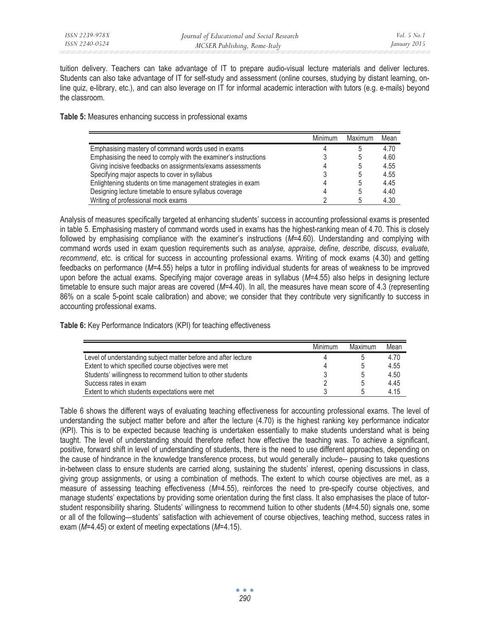tuition delivery. Teachers can take advantage of IT to prepare audio-visual lecture materials and deliver lectures. Students can also take advantage of IT for self-study and assessment (online courses, studying by distant learning, online quiz, e-library, etc.), and can also leverage on IT for informal academic interaction with tutors (e.g. e-mails) beyond the classroom.

**Table 5:** Measures enhancing success in professional exams

|                                                                 | Minimum | Maximum | Mean |
|-----------------------------------------------------------------|---------|---------|------|
| Emphasising mastery of command words used in exams              |         |         | 4.70 |
| Emphasising the need to comply with the examiner's instructions |         |         | 4.60 |
| Giving incisive feedbacks on assignments/exams assessments      |         |         | 4.55 |
| Specifying major aspects to cover in syllabus                   |         |         | 4.55 |
| Enlightening students on time management strategies in exam     |         |         | 4.45 |
| Designing lecture timetable to ensure syllabus coverage         |         |         | 4.40 |
| Writing of professional mock exams                              |         |         | 4.30 |

Analysis of measures specifically targeted at enhancing students' success in accounting professional exams is presented in table 5. Emphasising mastery of command words used in exams has the highest-ranking mean of 4.70. This is closely followed by emphasising compliance with the examiner's instructions (*M*=4.60). Understanding and complying with command words used in exam question requirements such as *analyse, appraise, define, describe, discuss, evaluate, recommend*, etc. is critical for success in accounting professional exams. Writing of mock exams (4.30) and getting feedbacks on performance (*M*=4.55) helps a tutor in profiling individual students for areas of weakness to be improved upon before the actual exams. Specifying major coverage areas in syllabus (*M*=4.55) also helps in designing lecture timetable to ensure such major areas are covered (*M*=4.40). In all, the measures have mean score of 4.3 (representing 86% on a scale 5-point scale calibration) and above; we consider that they contribute very significantly to success in accounting professional exams.

**Table 6:** Key Performance Indicators (KPI) for teaching effectiveness

|                                                                | Minimum | Maximum | Mean |
|----------------------------------------------------------------|---------|---------|------|
| Level of understanding subject matter before and after lecture |         |         | 4.70 |
| Extent to which specified course objectives were met           | 4       |         | 4.55 |
| Students' willingness to recommend tuition to other students   |         |         | 4.50 |
| Success rates in exam                                          |         |         | 4.45 |
| Extent to which students expectations were met                 |         |         | 4.15 |

Table 6 shows the different ways of evaluating teaching effectiveness for accounting professional exams. The level of understanding the subject matter before and after the lecture (4.70) is the highest ranking key performance indicator (KPI). This is to be expected because teaching is undertaken essentially to make students understand what is being taught. The level of understanding should therefore reflect how effective the teaching was. To achieve a significant, positive, forward shift in level of understanding of students, there is the need to use different approaches, depending on the cause of hindrance in the knowledge transference process, but would generally include-- pausing to take questions in-between class to ensure students are carried along, sustaining the students' interest, opening discussions in class, giving group assignments, or using a combination of methods. The extent to which course objectives are met, as a measure of assessing teaching effectiveness (*M*=4.55), reinforces the need to pre-specify course objectives, and manage students' expectations by providing some orientation during the first class. It also emphasises the place of tutorstudent responsibility sharing. Students' willingness to recommend tuition to other students (*M*=4.50) signals one, some or all of the following—students' satisfaction with achievement of course objectives, teaching method, success rates in exam (*M*=4.45) or extent of meeting expectations (*M*=4.15).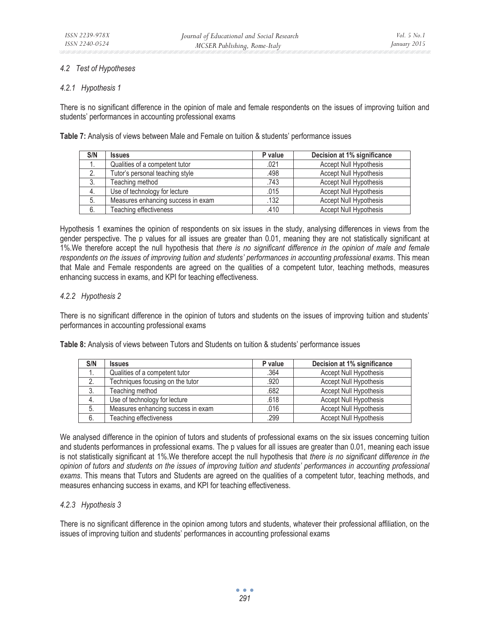# *4.2 Test of Hypotheses*

# *4.2.1 Hypothesis 1*

There is no significant difference in the opinion of male and female respondents on the issues of improving tuition and students' performances in accounting professional exams

**Table 7:** Analysis of views between Male and Female on tuition & students' performance issues

| S/N | <b>Issues</b>                      | P value | Decision at 1% significance   |
|-----|------------------------------------|---------|-------------------------------|
|     | Qualities of a competent tutor     | .021    | <b>Accept Null Hypothesis</b> |
| 2.  | Tutor's personal teaching style    | .498    | <b>Accept Null Hypothesis</b> |
| 3.  | Teaching method                    | .743    | Accept Null Hypothesis        |
| 4.  | Use of technology for lecture      | .015    | <b>Accept Null Hypothesis</b> |
| 5.  | Measures enhancing success in exam | .132    | <b>Accept Null Hypothesis</b> |
| 6.  | Teaching effectiveness             | .410    | <b>Accept Null Hypothesis</b> |

Hypothesis 1 examines the opinion of respondents on six issues in the study, analysing differences in views from the gender perspective. The p values for all issues are greater than 0.01, meaning they are not statistically significant at 1%.We therefore accept the null hypothesis that *there is no significant difference in the opinion of male and female respondents on the issues of improving tuition and students' performances in accounting professional exams*. This mean that Male and Female respondents are agreed on the qualities of a competent tutor, teaching methods, measures enhancing success in exams, and KPI for teaching effectiveness.

# *4.2.2 Hypothesis 2*

There is no significant difference in the opinion of tutors and students on the issues of improving tuition and students' performances in accounting professional exams

**Table 8:** Analysis of views between Tutors and Students on tuition & students' performance issues

| S/N | <b>Issues</b>                      | P value | Decision at 1% significance   |
|-----|------------------------------------|---------|-------------------------------|
|     | Qualities of a competent tutor     | .364    | Accept Null Hypothesis        |
| 2.  | Techniques focusing on the tutor   | .920    | <b>Accept Null Hypothesis</b> |
| 3.  | Teaching method                    | .682    | <b>Accept Null Hypothesis</b> |
| 4.  | Use of technology for lecture      | .618    | <b>Accept Null Hypothesis</b> |
| 5.  | Measures enhancing success in exam | .016    | <b>Accept Null Hypothesis</b> |
| 6.  | Teaching effectiveness             | .299    | <b>Accept Null Hypothesis</b> |

We analysed difference in the opinion of tutors and students of professional exams on the six issues concerning tuition and students performances in professional exams. The p values for all issues are greater than 0.01, meaning each issue is not statistically significant at 1%.We therefore accept the null hypothesis that *there is no significant difference in the opinion of tutors and students on the issues of improving tuition and students' performances in accounting professional exams*. This means that Tutors and Students are agreed on the qualities of a competent tutor, teaching methods, and measures enhancing success in exams, and KPI for teaching effectiveness.

# *4.2.3 Hypothesis 3*

There is no significant difference in the opinion among tutors and students, whatever their professional affiliation, on the issues of improving tuition and students' performances in accounting professional exams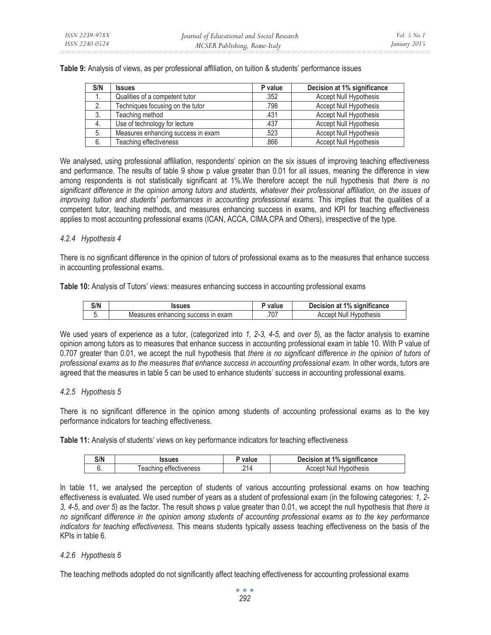| Table 9: Analysis of views, as per professional affiliation, on tuition & students' performance issues |  |
|--------------------------------------------------------------------------------------------------------|--|
|                                                                                                        |  |

| S/N | <b>Issues</b>                      | P value | Decision at 1% significance   |
|-----|------------------------------------|---------|-------------------------------|
| ٠.  | Qualities of a competent tutor     | .352    | <b>Accept Null Hypothesis</b> |
|     | Techniques focusing on the tutor   | .798    | <b>Accept Null Hypothesis</b> |
| -3. | Teaching method                    | .431    | <b>Accept Null Hypothesis</b> |
| 4.  | Use of technology for lecture      | .437    | <b>Accept Null Hypothesis</b> |
| -5. | Measures enhancing success in exam | .523    | <b>Accept Null Hypothesis</b> |
| 6.  | Teaching effectiveness             | .866    | <b>Accept Null Hypothesis</b> |

We analysed, using professional affiliation, respondents' opinion on the six issues of improving teaching effectiveness and performance. The results of table 9 show p value greater than 0.01 for all issues, meaning the difference in view among respondents is not statistically significant at 1%.We therefore accept the null hypothesis that *there is no significant difference in the opinion among tutors and students, whatever their professional affiliation, on the issues of improving tuition and students' performances in accounting professional exams.* This implies that the qualities of a competent tutor, teaching methods, and measures enhancing success in exams, and KPI for teaching effectiveness applies to most accounting professional exams (ICAN, ACCA, CIMA,CPA and Others), irrespective of the type.

# *4.2.4 Hypothesis 4*

There is no significant difference in the opinion of tutors of professional exams as to the measures that enhance success in accounting professional exams.

**Table 10:** Analysis of Tutors' views: measures enhancing success in accounting professional exams

| S/N | ssues                                                           | value | significance<br>1%<br>. Jecision<br>яt<br>eision |
|-----|-----------------------------------------------------------------|-------|--------------------------------------------------|
| J.  | exam<br>$\mathsf{I}$<br><b>SUCCESS</b><br>Measures<br>ennancino | .707  | thesis<br>Nı<br>⊣∨.                              |

We used years of experience as a tutor, (categorized into *1, 2-3, 4-5,* and *over 5*), as the factor analysis to examine opinion among tutors as to measures that enhance success in accounting professional exam in table 10. With P value of 0.707 greater than 0.01, we accept the null hypothesis that *there is no significant difference in the opinion of tutors of professional exams as to the measures that enhance success in accounting professional exam*. In other words, tutors are agreed that the measures in table 5 can be used to enhance students' success in accounting professional exams.

# *4.2.5 Hypothesis 5*

There is no significant difference in the opinion among students of accounting professional exams as to the key performance indicators for teaching effectiveness.

**Table 11:** Analysis of students' views on key performance indicators for teaching effectiveness

| S/N | ssues                    | value | at 1% significance<br>Decision.     |
|-----|--------------------------|-------|-------------------------------------|
|     | effectiveness<br>eacning | .214  | <b>Hypothesis</b><br>Null<br>Accept |

In table 11, we analysed the perception of students of various accounting professional exams on how teaching effectiveness is evaluated. We used number of years as a student of professional exam (in the following categories: *1, 2- 3, 4-5*, and *over 5*) as the factor. The result shows p value greater than 0.01, we accept the null hypothesis that *there is no significant difference in the opinion among students of accounting professional exams as to the key performance indicators for teaching effectiveness.* This means students typically assess teaching effectiveness on the basis of the KPIs in table 6.

# *4.2.6 Hypothesis 6*

The teaching methods adopted do not significantly affect teaching effectiveness for accounting professional exams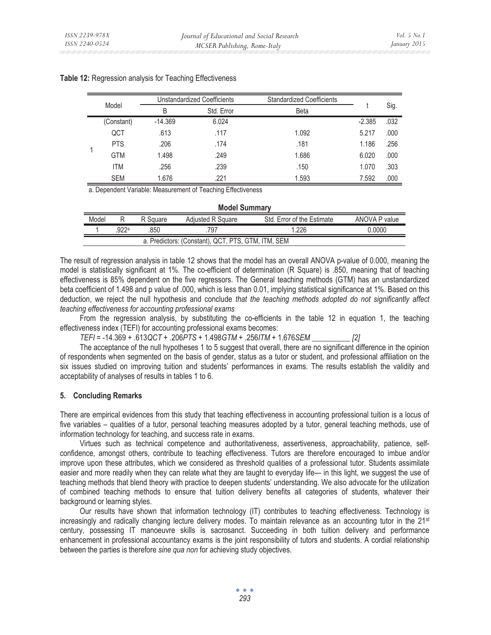|  |            | Unstandardized Coefficients |            | <b>Standardized Coefficients</b> |          |      |
|--|------------|-----------------------------|------------|----------------------------------|----------|------|
|  | Model      | B                           | Std. Error | <b>Beta</b>                      |          | Sig. |
|  | (Constant) | $-14.369$                   | 6.024      |                                  | $-2.385$ | .032 |
|  | QCT        | .613                        | .117       | 1.092                            | 5.217    | .000 |
|  | <b>PTS</b> | .206                        | .174       | .181                             | 1.186    | .256 |
|  | <b>GTM</b> | 1.498                       | .249       | 1.686                            | 6.020    | .000 |
|  | <b>ITM</b> | .256                        | .239       | .150                             | 1.070    | .303 |
|  | <b>SEM</b> | 1.676                       | .221       | 1.593                            | 7.592    | .000 |

### **Table 12:** Regression analysis for Teaching Effectiveness

a. Dependent Variable: Measurement of Teaching Effectiveness

| <b>Model Summary</b>                               |      |          |                   |                            |               |
|----------------------------------------------------|------|----------|-------------------|----------------------------|---------------|
| Model                                              |      | R Square | Adiusted R Square | Std. Error of the Estimate | ANOVA P value |
|                                                    | 922a | .850     | 797               | 1.226                      | 0.0000        |
| a. Predictors: (Constant), QCT, PTS, GTM, ITM, SEM |      |          |                   |                            |               |

The result of regression analysis in table 12 shows that the model has an overall ANOVA p-value of 0.000, meaning the model is statistically significant at 1%. The co-efficient of determination (R Square) is .850, meaning that of teaching effectiveness is 85% dependent on the five regressors. The General teaching methods (GTM) has an unstandardized beta coefficient of 1.498 and p value of .000, which is less than 0.01, implying statistical significance at 1%. Based on this deduction, we reject the null hypothesis and conclude *that the teaching methods adopted do not significantly affect teaching effectiveness for accounting professional exams*

From the regression analysis, by substituting the co-efficients in the table 12 in equation 1, the teaching effectiveness index (TEFI) for accounting professional exams becomes:

*TEFI =* -14.369 *+* .613*QCT +* .206*PTS +* 1.498*GTM +* .256*ITM +* 1.676*SEM \_\_\_\_\_\_\_\_\_\_ [2]*

The acceptance of the null hypotheses 1 to 5 suggest that overall, there are no significant difference in the opinion of respondents when segmented on the basis of gender, status as a tutor or student, and professional affiliation on the six issues studied on improving tuition and students' performances in exams. The results establish the validity and acceptability of analyses of results in tables 1 to 6.

#### **5. Concluding Remarks**

There are empirical evidences from this study that teaching effectiveness in accounting professional tuition is a locus of five variables – qualities of a tutor, personal teaching measures adopted by a tutor, general teaching methods, use of information technology for teaching, and success rate in exams.

Virtues such as technical competence and authoritativeness, assertiveness, approachability, patience, selfconfidence, amongst others, contribute to teaching effectiveness. Tutors are therefore encouraged to imbue and/or improve upon these attributes, which we considered as threshold qualities of a professional tutor. Students assimilate easier and more readily when they can relate what they are taught to everyday life— in this light, we suggest the use of teaching methods that blend theory with practice to deepen students' understanding. We also advocate for the utilization of combined teaching methods to ensure that tuition delivery benefits all categories of students, whatever their background or learning styles.

Our results have shown that information technology (IT) contributes to teaching effectiveness. Technology is increasingly and radically changing lecture delivery modes. To maintain relevance as an accounting tutor in the 21st century, possessing IT manoeuvre skills is sacrosanct. Succeeding in both tuition delivery and performance enhancement in professional accountancy exams is the joint responsibility of tutors and students. A cordial relationship between the parties is therefore *sine qua non* for achieving study objectives.